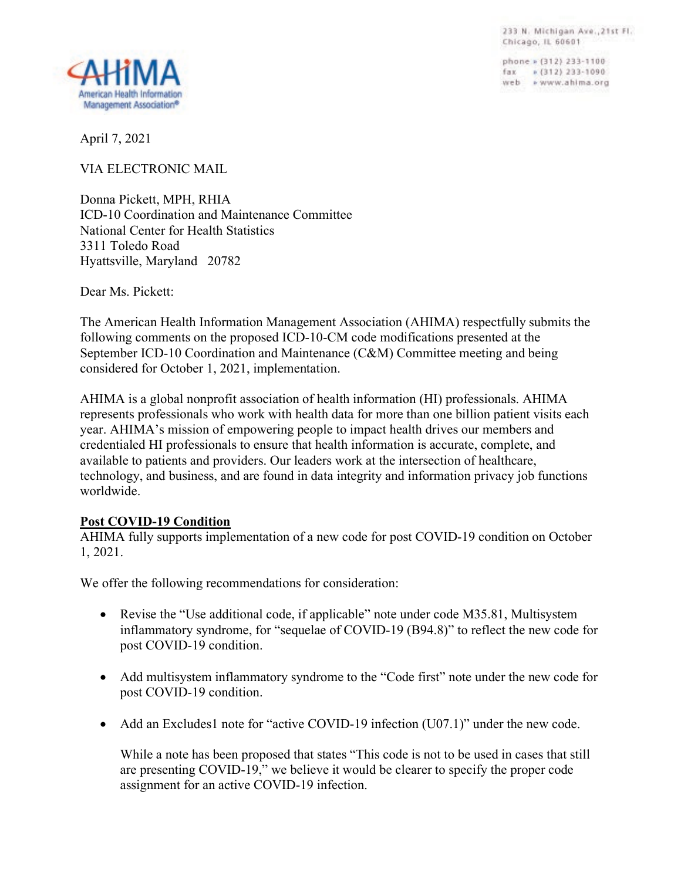233 N. Michigan Ave., 21st Fl. Chicago, IL 60601

phone » (312) 233-1100 fax = (312) 233-1090 web » www.ahima.org



April 7, 2021

VIA ELECTRONIC MAIL

Donna Pickett, MPH, RHIA ICD-10 Coordination and Maintenance Committee National Center for Health Statistics 3311 Toledo Road Hyattsville, Maryland 20782

Dear Ms. Pickett:

The American Health Information Management Association (AHIMA) respectfully submits the following comments on the proposed ICD-10-CM code modifications presented at the September ICD-10 Coordination and Maintenance (C&M) Committee meeting and being considered for October 1, 2021, implementation.

AHIMA is a global nonprofit association of health information (HI) professionals. AHIMA represents professionals who work with health data for more than one billion patient visits each year. AHIMA's mission of empowering people to impact health drives our members and credentialed HI professionals to ensure that health information is accurate, complete, and available to patients and providers. Our leaders work at the intersection of healthcare, technology, and business, and are found in data integrity and information privacy job functions worldwide.

## **Post COVID-19 Condition**

AHIMA fully supports implementation of a new code for post COVID-19 condition on October 1, 2021.

We offer the following recommendations for consideration:

- Revise the "Use additional code, if applicable" note under code M35.81, Multisystem inflammatory syndrome, for "sequelae of COVID-19 (B94.8)" to reflect the new code for post COVID-19 condition.
- Add multisystem inflammatory syndrome to the "Code first" note under the new code for post COVID-19 condition.
- Add an Excludes1 note for "active COVID-19 infection (U07.1)" under the new code.

While a note has been proposed that states "This code is not to be used in cases that still are presenting COVID-19," we believe it would be clearer to specify the proper code assignment for an active COVID-19 infection.